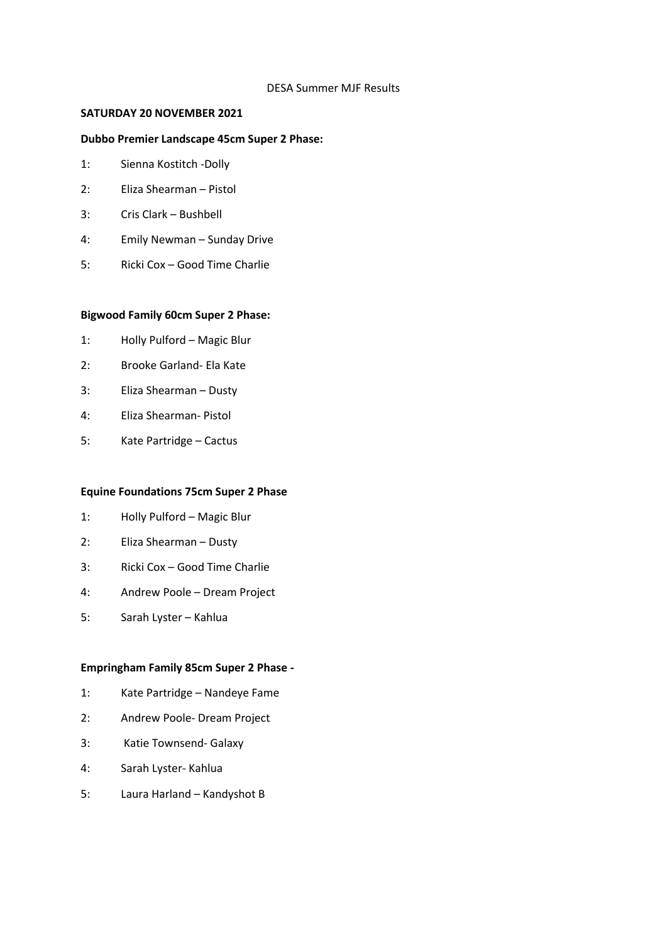### DESA Summer MJF Results

## **SATURDAY 20 NOVEMBER 2021**

## **Dubbo Premier Landscape 45cm Super 2 Phase:**

- 1: Sienna Kostitch -Dolly
- 2: Eliza Shearman Pistol
- 3: Cris Clark Bushbell
- 4: Emily Newman Sunday Drive
- 5: Ricki Cox Good Time Charlie

### **Bigwood Family 60cm Super 2 Phase:**

- 1: Holly Pulford Magic Blur
- 2: Brooke Garland- Ela Kate
- 3: Eliza Shearman Dusty
- 4: Eliza Shearman- Pistol
- 5: Kate Partridge Cactus

### **Equine Foundations 75cm Super 2 Phase**

- 1: Holly Pulford Magic Blur
- 2: Eliza Shearman Dusty
- 3: Ricki Cox Good Time Charlie
- 4: Andrew Poole Dream Project
- 5: Sarah Lyster Kahlua

## **Empringham Family 85cm Super 2 Phase -**

- 1: Kate Partridge Nandeye Fame
- 2: Andrew Poole- Dream Project
- 3: Katie Townsend- Galaxy
- 4: Sarah Lyster- Kahlua
- 5: Laura Harland Kandyshot B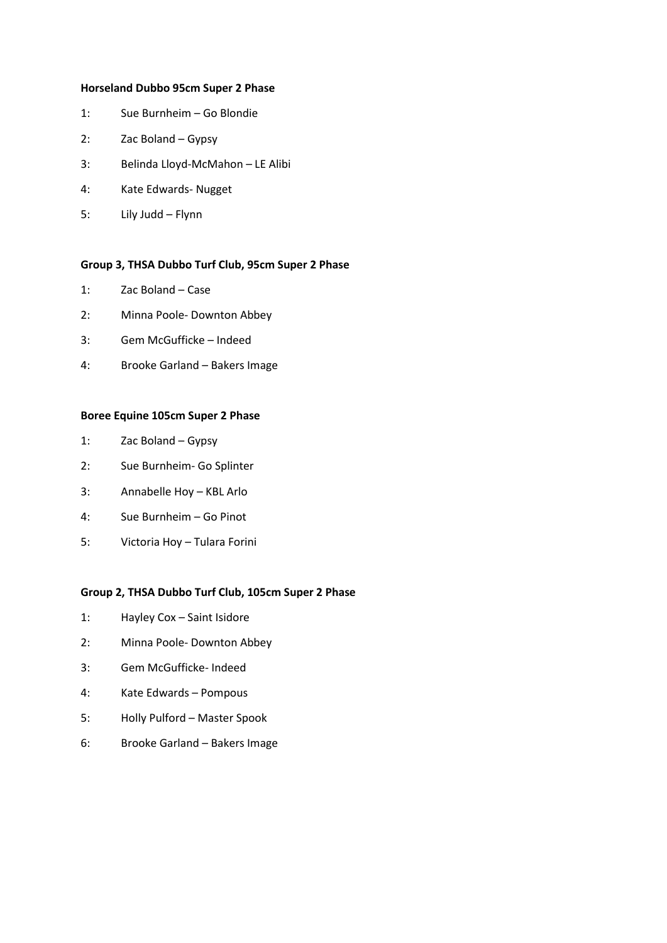#### **Horseland Dubbo 95cm Super 2 Phase**

- 1: Sue Burnheim Go Blondie
- 2: Zac Boland Gypsy
- 3: Belinda Lloyd-McMahon LE Alibi
- 4: Kate Edwards- Nugget
- 5: Lily Judd Flynn

#### **Group 3, THSA Dubbo Turf Club, 95cm Super 2 Phase**

- 1: Zac Boland Case
- 2: Minna Poole- Downton Abbey
- 3: Gem McGufficke Indeed
- 4: Brooke Garland Bakers Image

### **Boree Equine 105cm Super 2 Phase**

- 1: Zac Boland Gypsy
- 2: Sue Burnheim- Go Splinter
- 3: Annabelle Hoy KBL Arlo
- 4: Sue Burnheim Go Pinot
- 5: Victoria Hoy Tulara Forini

### **Group 2, THSA Dubbo Turf Club, 105cm Super 2 Phase**

- 1: Hayley Cox Saint Isidore
- 2: Minna Poole- Downton Abbey
- 3: Gem McGufficke- Indeed
- 4: Kate Edwards Pompous
- 5: Holly Pulford Master Spook
- 6: Brooke Garland Bakers Image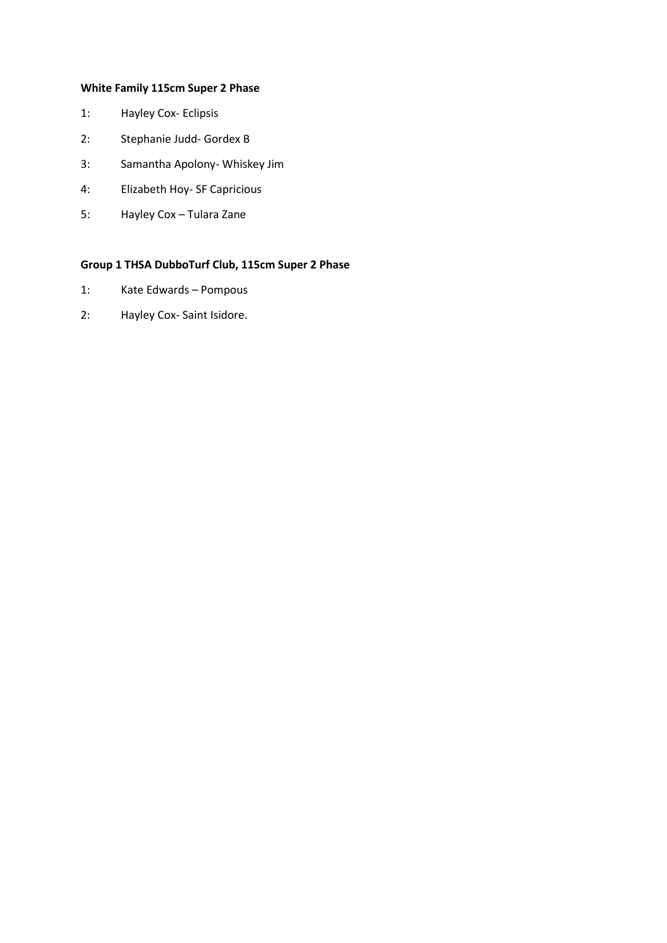# **White Family 115cm Super 2 Phase**

- 1: Hayley Cox- Eclipsis
- 2: Stephanie Judd- Gordex B
- 3: Samantha Apolony- Whiskey Jim
- 4: Elizabeth Hoy- SF Capricious
- 5: Hayley Cox Tulara Zane

# **Group 1 THSA DubboTurf Club, 115cm Super 2 Phase**

- 1: Kate Edwards Pompous
- 2: Hayley Cox- Saint Isidore.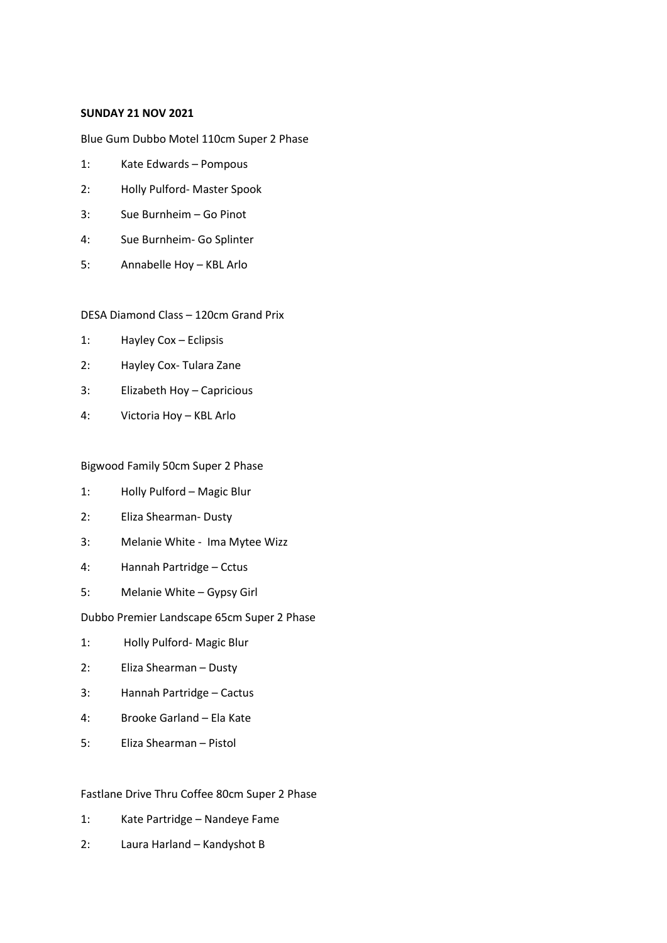### **SUNDAY 21 NOV 2021**

Blue Gum Dubbo Motel 110cm Super 2 Phase

- 1: Kate Edwards Pompous
- 2: Holly Pulford- Master Spook
- 3: Sue Burnheim Go Pinot
- 4: Sue Burnheim- Go Splinter
- 5: Annabelle Hoy KBL Arlo

## DESA Diamond Class – 120cm Grand Prix

- 1: Hayley Cox Eclipsis
- 2: Hayley Cox- Tulara Zane
- 3: Elizabeth Hoy Capricious
- 4: Victoria Hoy KBL Arlo

### Bigwood Family 50cm Super 2 Phase

- 1: Holly Pulford Magic Blur
- 2: Eliza Shearman- Dusty
- 3: Melanie White Ima Mytee Wizz
- 4: Hannah Partridge Cctus
- 5: Melanie White Gypsy Girl

### Dubbo Premier Landscape 65cm Super 2 Phase

- 1: Holly Pulford- Magic Blur
- 2: Eliza Shearman Dusty
- 3: Hannah Partridge Cactus
- 4: Brooke Garland Ela Kate
- 5: Eliza Shearman Pistol

## Fastlane Drive Thru Coffee 80cm Super 2 Phase

- 1: Kate Partridge Nandeye Fame
- 2: Laura Harland Kandyshot B